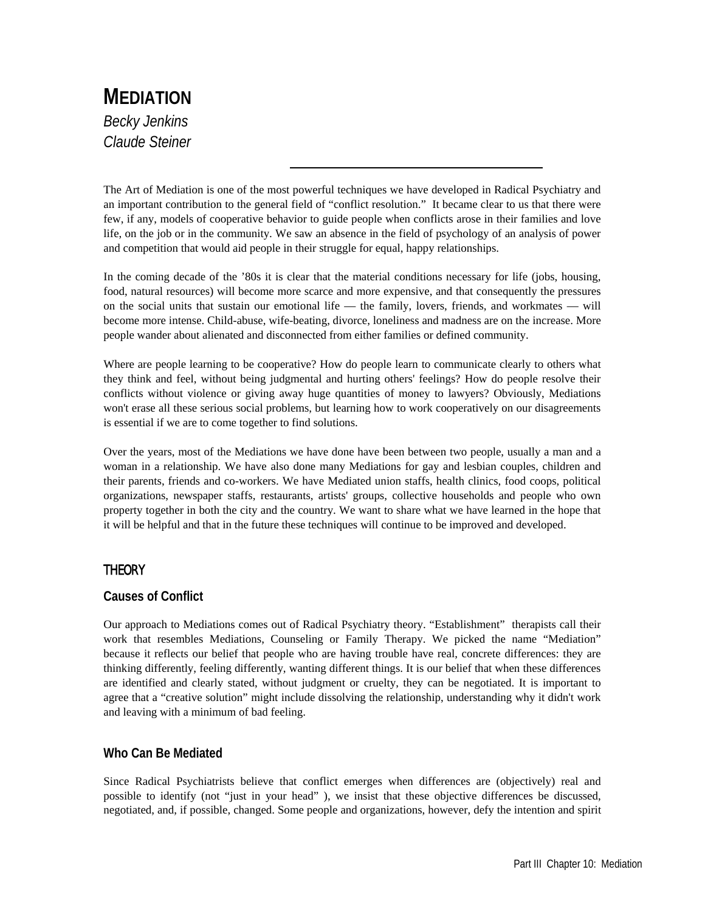# **MEDIATION** *Becky Jenkins Claude Steiner*

The Art of Mediation is one of the most powerful techniques we have developed in Radical Psychiatry and an important contribution to the general field of "conflict resolution." It became clear to us that there were few, if any, models of cooperative behavior to guide people when conflicts arose in their families and love life, on the job or in the community. We saw an absence in the field of psychology of an analysis of power and competition that would aid people in their struggle for equal, happy relationships.

In the coming decade of the '80s it is clear that the material conditions necessary for life (jobs, housing, food, natural resources) will become more scarce and more expensive, and that consequently the pressures on the social units that sustain our emotional life — the family, lovers, friends, and workmates — will become more intense. Child-abuse, wife-beating, divorce, loneliness and madness are on the increase. More people wander about alienated and disconnected from either families or defined community.

Where are people learning to be cooperative? How do people learn to communicate clearly to others what they think and feel, without being judgmental and hurting others' feelings? How do people resolve their conflicts without violence or giving away huge quantities of money to lawyers? Obviously, Mediations won't erase all these serious social problems, but learning how to work cooperatively on our disagreements is essential if we are to come together to find solutions.

Over the years, most of the Mediations we have done have been between two people, usually a man and a woman in a relationship. We have also done many Mediations for gay and lesbian couples, children and their parents, friends and co-workers. We have Mediated union staffs, health clinics, food coops, political organizations, newspaper staffs, restaurants, artists' groups, collective households and people who own property together in both the city and the country. We want to share what we have learned in the hope that it will be helpful and that in the future these techniques will continue to be improved and developed.

# **THEORY**

# **Causes of Conflict**

Our approach to Mediations comes out of Radical Psychiatry theory. "Establishment" therapists call their work that resembles Mediations, Counseling or Family Therapy. We picked the name "Mediation" because it reflects our belief that people who are having trouble have real, concrete differences: they are thinking differently, feeling differently, wanting different things. It is our belief that when these differences are identified and clearly stated, without judgment or cruelty, they can be negotiated. It is important to agree that a "creative solution" might include dissolving the relationship, understanding why it didn't work and leaving with a minimum of bad feeling.

# **Who Can Be Mediated**

Since Radical Psychiatrists believe that conflict emerges when differences are (objectively) real and possible to identify (not "just in your head" ), we insist that these objective differences be discussed, negotiated, and, if possible, changed. Some people and organizations, however, defy the intention and spirit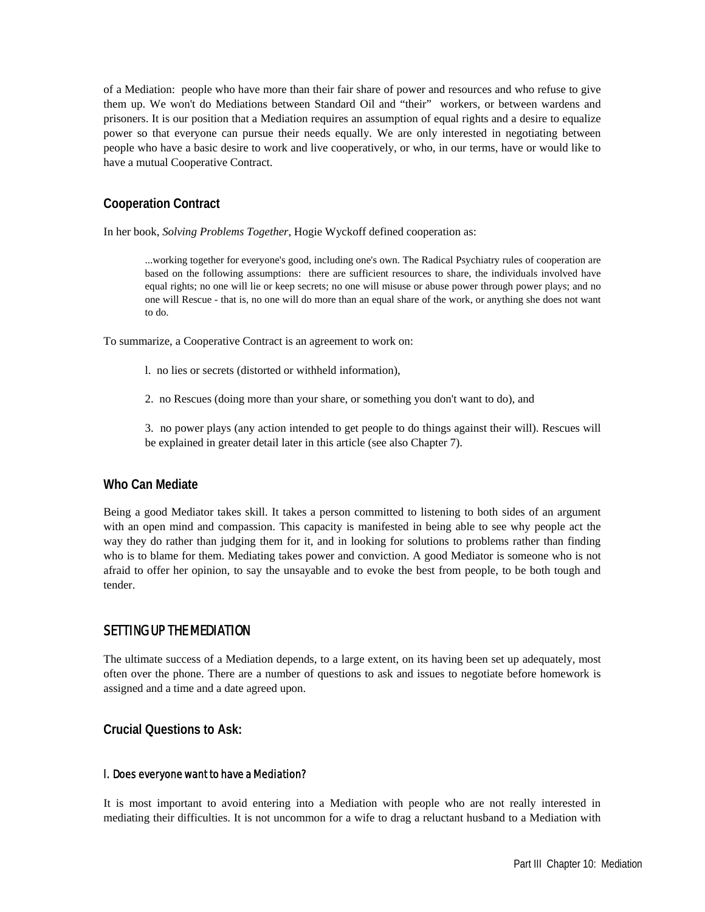of a Mediation: people who have more than their fair share of power and resources and who refuse to give them up. We won't do Mediations between Standard Oil and "their" workers, or between wardens and prisoners. It is our position that a Mediation requires an assumption of equal rights and a desire to equalize power so that everyone can pursue their needs equally. We are only interested in negotiating between people who have a basic desire to work and live cooperatively, or who, in our terms, have or would like to have a mutual Cooperative Contract.

# **Cooperation Contract**

In her book, *Solving Problems Together*, Hogie Wyckoff defined cooperation as:

...working together for everyone's good, including one's own. The Radical Psychiatry rules of cooperation are based on the following assumptions: there are sufficient resources to share, the individuals involved have equal rights; no one will lie or keep secrets; no one will misuse or abuse power through power plays; and no one will Rescue - that is, no one will do more than an equal share of the work, or anything she does not want to do.

To summarize, a Cooperative Contract is an agreement to work on:

- l. no lies or secrets (distorted or withheld information),
- 2. no Rescues (doing more than your share, or something you don't want to do), and

3. no power plays (any action intended to get people to do things against their will). Rescues will be explained in greater detail later in this article (see also Chapter 7).

### **Who Can Mediate**

Being a good Mediator takes skill. It takes a person committed to listening to both sides of an argument with an open mind and compassion. This capacity is manifested in being able to see why people act the way they do rather than judging them for it, and in looking for solutions to problems rather than finding who is to blame for them. Mediating takes power and conviction. A good Mediator is someone who is not afraid to offer her opinion, to say the unsayable and to evoke the best from people, to be both tough and tender.

# SETTING UP THE MEDIATION

The ultimate success of a Mediation depends, to a large extent, on its having been set up adequately, most often over the phone. There are a number of questions to ask and issues to negotiate before homework is assigned and a time and a date agreed upon.

**Crucial Questions to Ask:** 

#### l. Does everyone want to have a Mediation?

It is most important to avoid entering into a Mediation with people who are not really interested in mediating their difficulties. It is not uncommon for a wife to drag a reluctant husband to a Mediation with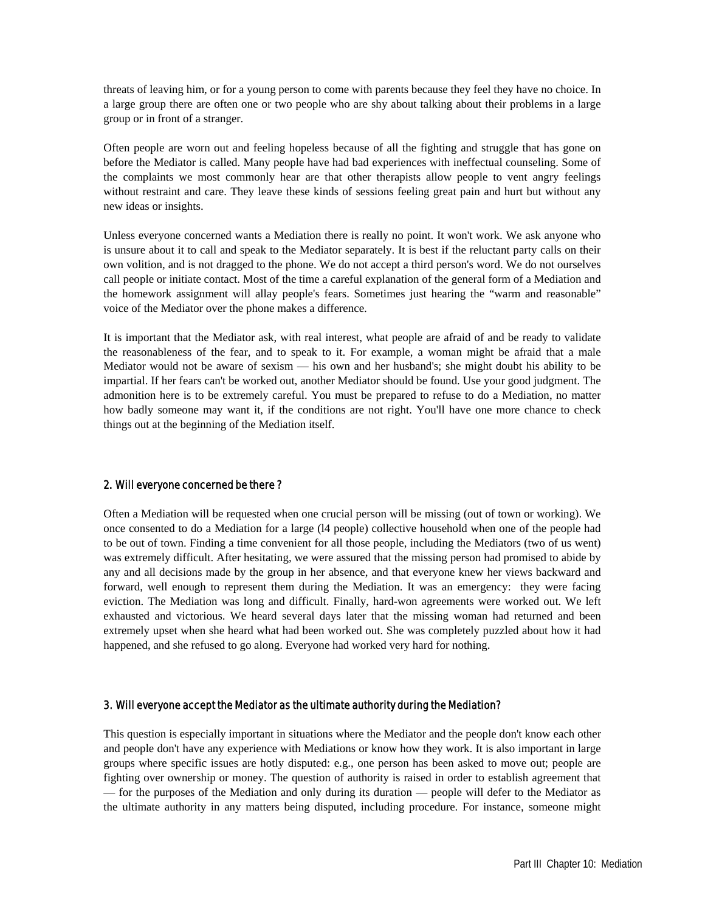threats of leaving him, or for a young person to come with parents because they feel they have no choice. In a large group there are often one or two people who are shy about talking about their problems in a large group or in front of a stranger.

Often people are worn out and feeling hopeless because of all the fighting and struggle that has gone on before the Mediator is called. Many people have had bad experiences with ineffectual counseling. Some of the complaints we most commonly hear are that other therapists allow people to vent angry feelings without restraint and care. They leave these kinds of sessions feeling great pain and hurt but without any new ideas or insights.

Unless everyone concerned wants a Mediation there is really no point. It won't work. We ask anyone who is unsure about it to call and speak to the Mediator separately. It is best if the reluctant party calls on their own volition, and is not dragged to the phone. We do not accept a third person's word. We do not ourselves call people or initiate contact. Most of the time a careful explanation of the general form of a Mediation and the homework assignment will allay people's fears. Sometimes just hearing the "warm and reasonable" voice of the Mediator over the phone makes a difference.

It is important that the Mediator ask, with real interest, what people are afraid of and be ready to validate the reasonableness of the fear, and to speak to it. For example, a woman might be afraid that a male Mediator would not be aware of sexism — his own and her husband's; she might doubt his ability to be impartial. If her fears can't be worked out, another Mediator should be found. Use your good judgment. The admonition here is to be extremely careful. You must be prepared to refuse to do a Mediation, no matter how badly someone may want it, if the conditions are not right. You'll have one more chance to check things out at the beginning of the Mediation itself.

#### 2. Will everyone concerned be there ?

Often a Mediation will be requested when one crucial person will be missing (out of town or working). We once consented to do a Mediation for a large (l4 people) collective household when one of the people had to be out of town. Finding a time convenient for all those people, including the Mediators (two of us went) was extremely difficult. After hesitating, we were assured that the missing person had promised to abide by any and all decisions made by the group in her absence, and that everyone knew her views backward and forward, well enough to represent them during the Mediation. It was an emergency: they were facing eviction. The Mediation was long and difficult. Finally, hard-won agreements were worked out. We left exhausted and victorious. We heard several days later that the missing woman had returned and been extremely upset when she heard what had been worked out. She was completely puzzled about how it had happened, and she refused to go along. Everyone had worked very hard for nothing.

#### 3. Will everyone accept the Mediator as the ultimate authority during the Mediation?

This question is especially important in situations where the Mediator and the people don't know each other and people don't have any experience with Mediations or know how they work. It is also important in large groups where specific issues are hotly disputed: e.g., one person has been asked to move out; people are fighting over ownership or money. The question of authority is raised in order to establish agreement that — for the purposes of the Mediation and only during its duration — people will defer to the Mediator as the ultimate authority in any matters being disputed, including procedure. For instance, someone might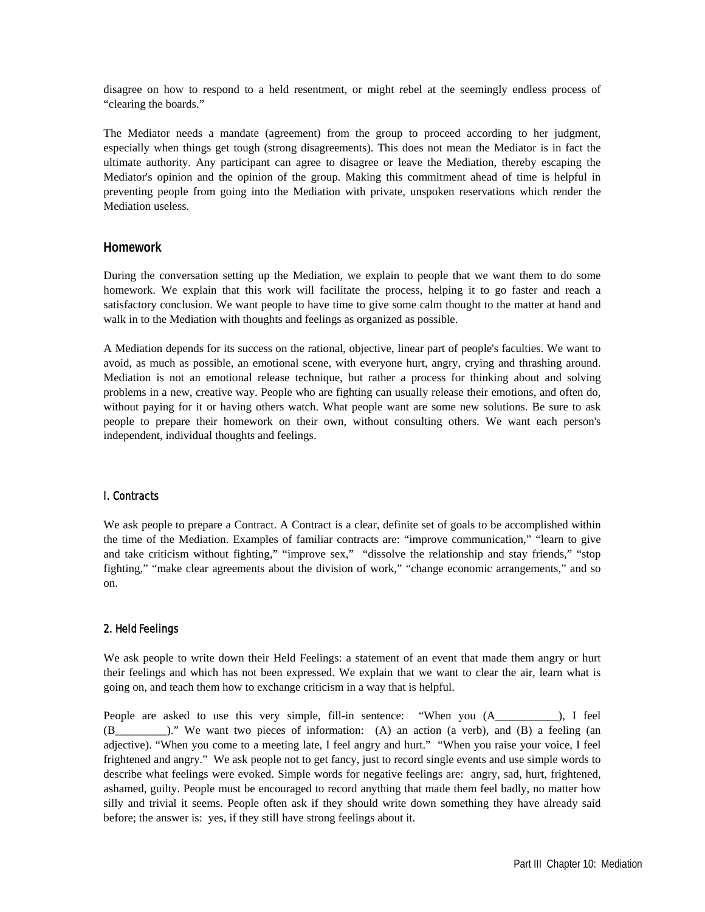disagree on how to respond to a held resentment, or might rebel at the seemingly endless process of "clearing the boards."

The Mediator needs a mandate (agreement) from the group to proceed according to her judgment, especially when things get tough (strong disagreements). This does not mean the Mediator is in fact the ultimate authority. Any participant can agree to disagree or leave the Mediation, thereby escaping the Mediator's opinion and the opinion of the group. Making this commitment ahead of time is helpful in preventing people from going into the Mediation with private, unspoken reservations which render the Mediation useless.

## **Homework**

During the conversation setting up the Mediation, we explain to people that we want them to do some homework. We explain that this work will facilitate the process, helping it to go faster and reach a satisfactory conclusion. We want people to have time to give some calm thought to the matter at hand and walk in to the Mediation with thoughts and feelings as organized as possible.

A Mediation depends for its success on the rational, objective, linear part of people's faculties. We want to avoid, as much as possible, an emotional scene, with everyone hurt, angry, crying and thrashing around. Mediation is not an emotional release technique, but rather a process for thinking about and solving problems in a new, creative way. People who are fighting can usually release their emotions, and often do, without paying for it or having others watch. What people want are some new solutions. Be sure to ask people to prepare their homework on their own, without consulting others. We want each person's independent, individual thoughts and feelings.

### l. Contracts

We ask people to prepare a Contract. A Contract is a clear, definite set of goals to be accomplished within the time of the Mediation. Examples of familiar contracts are: "improve communication," "learn to give and take criticism without fighting," "improve sex," "dissolve the relationship and stay friends," "stop fighting," "make clear agreements about the division of work," "change economic arrangements," and so on.

### 2. Held Feelings

We ask people to write down their Held Feelings: a statement of an event that made them angry or hurt their feelings and which has not been expressed. We explain that we want to clear the air, learn what is going on, and teach them how to exchange criticism in a way that is helpful.

People are asked to use this very simple, fill-in sentence: "When you (A\_\_\_\_\_\_\_\_), I feel (B\_\_\_\_\_\_\_\_\_)." We want two pieces of information: (A) an action (a verb), and (B) a feeling (an adjective). "When you come to a meeting late, I feel angry and hurt." "When you raise your voice, I feel frightened and angry." We ask people not to get fancy, just to record single events and use simple words to describe what feelings were evoked. Simple words for negative feelings are: angry, sad, hurt, frightened, ashamed, guilty. People must be encouraged to record anything that made them feel badly, no matter how silly and trivial it seems. People often ask if they should write down something they have already said before; the answer is: yes, if they still have strong feelings about it.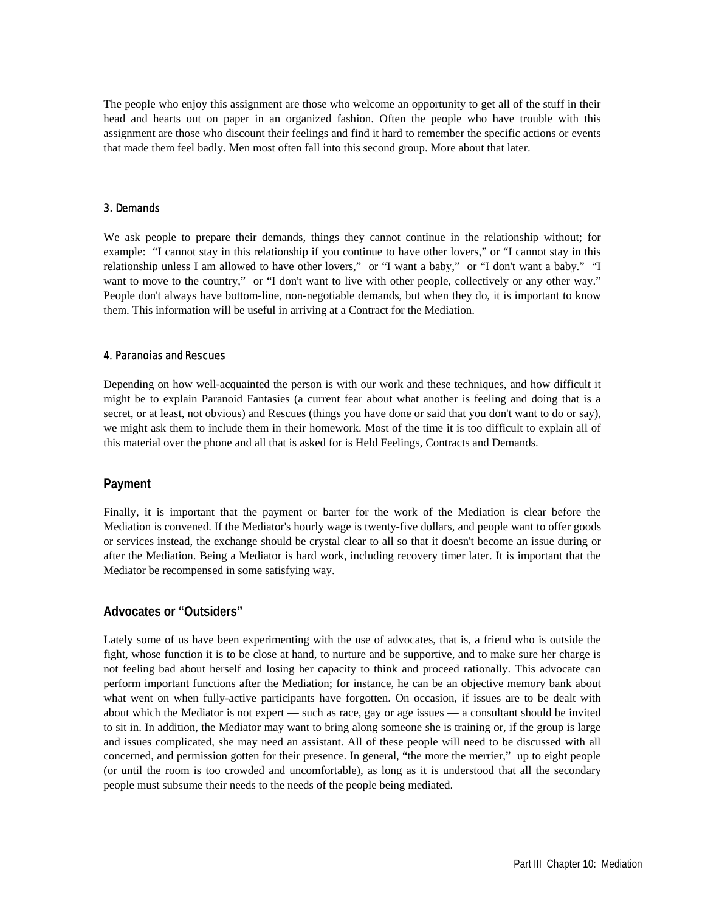The people who enjoy this assignment are those who welcome an opportunity to get all of the stuff in their head and hearts out on paper in an organized fashion. Often the people who have trouble with this assignment are those who discount their feelings and find it hard to remember the specific actions or events that made them feel badly. Men most often fall into this second group. More about that later.

#### 3. Demands

We ask people to prepare their demands, things they cannot continue in the relationship without; for example: "I cannot stay in this relationship if you continue to have other lovers," or "I cannot stay in this relationship unless I am allowed to have other lovers," or "I want a baby," or "I don't want a baby." "I want to move to the country," or "I don't want to live with other people, collectively or any other way." People don't always have bottom-line, non-negotiable demands, but when they do, it is important to know them. This information will be useful in arriving at a Contract for the Mediation.

#### 4. Paranoias and Rescues

Depending on how well-acquainted the person is with our work and these techniques, and how difficult it might be to explain Paranoid Fantasies (a current fear about what another is feeling and doing that is a secret, or at least, not obvious) and Rescues (things you have done or said that you don't want to do or say), we might ask them to include them in their homework. Most of the time it is too difficult to explain all of this material over the phone and all that is asked for is Held Feelings, Contracts and Demands.

#### **Payment**

Finally, it is important that the payment or barter for the work of the Mediation is clear before the Mediation is convened. If the Mediator's hourly wage is twenty-five dollars, and people want to offer goods or services instead, the exchange should be crystal clear to all so that it doesn't become an issue during or after the Mediation. Being a Mediator is hard work, including recovery timer later. It is important that the Mediator be recompensed in some satisfying way.

#### **Advocates or "Outsiders"**

Lately some of us have been experimenting with the use of advocates, that is, a friend who is outside the fight, whose function it is to be close at hand, to nurture and be supportive, and to make sure her charge is not feeling bad about herself and losing her capacity to think and proceed rationally. This advocate can perform important functions after the Mediation; for instance, he can be an objective memory bank about what went on when fully-active participants have forgotten. On occasion, if issues are to be dealt with about which the Mediator is not expert — such as race, gay or age issues — a consultant should be invited to sit in. In addition, the Mediator may want to bring along someone she is training or, if the group is large and issues complicated, she may need an assistant. All of these people will need to be discussed with all concerned, and permission gotten for their presence. In general, "the more the merrier," up to eight people (or until the room is too crowded and uncomfortable), as long as it is understood that all the secondary people must subsume their needs to the needs of the people being mediated.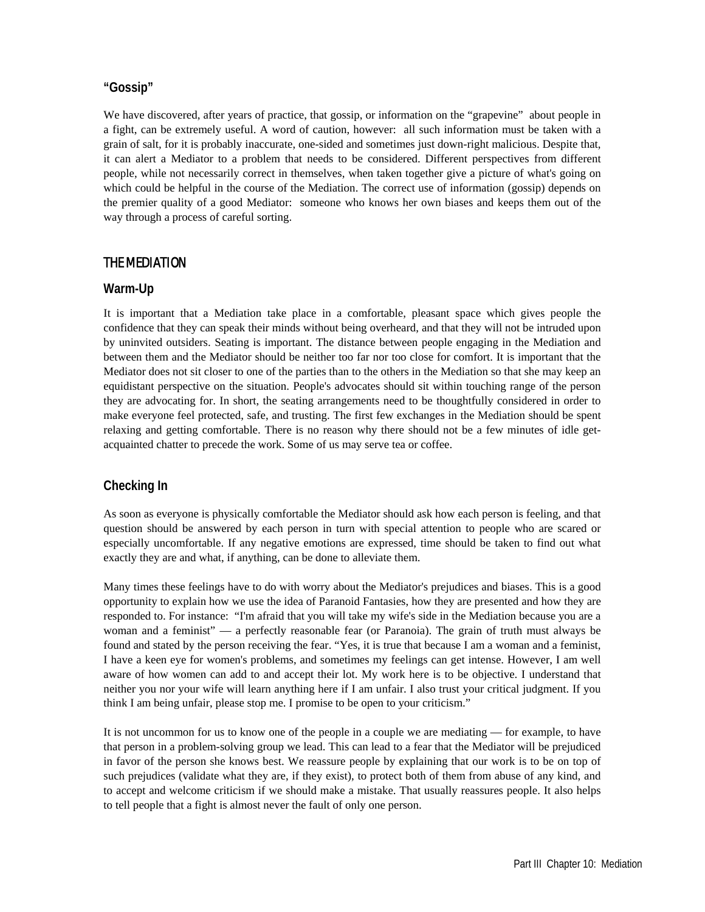# **"Gossip"**

We have discovered, after years of practice, that gossip, or information on the "grapevine" about people in a fight, can be extremely useful. A word of caution, however: all such information must be taken with a grain of salt, for it is probably inaccurate, one-sided and sometimes just down-right malicious. Despite that, it can alert a Mediator to a problem that needs to be considered. Different perspectives from different people, while not necessarily correct in themselves, when taken together give a picture of what's going on which could be helpful in the course of the Mediation. The correct use of information (gossip) depends on the premier quality of a good Mediator: someone who knows her own biases and keeps them out of the way through a process of careful sorting.

# THE MEDIATION

### **Warm-Up**

It is important that a Mediation take place in a comfortable, pleasant space which gives people the confidence that they can speak their minds without being overheard, and that they will not be intruded upon by uninvited outsiders. Seating is important. The distance between people engaging in the Mediation and between them and the Mediator should be neither too far nor too close for comfort. It is important that the Mediator does not sit closer to one of the parties than to the others in the Mediation so that she may keep an equidistant perspective on the situation. People's advocates should sit within touching range of the person they are advocating for. In short, the seating arrangements need to be thoughtfully considered in order to make everyone feel protected, safe, and trusting. The first few exchanges in the Mediation should be spent relaxing and getting comfortable. There is no reason why there should not be a few minutes of idle getacquainted chatter to precede the work. Some of us may serve tea or coffee.

# **Checking In**

As soon as everyone is physically comfortable the Mediator should ask how each person is feeling, and that question should be answered by each person in turn with special attention to people who are scared or especially uncomfortable. If any negative emotions are expressed, time should be taken to find out what exactly they are and what, if anything, can be done to alleviate them.

Many times these feelings have to do with worry about the Mediator's prejudices and biases. This is a good opportunity to explain how we use the idea of Paranoid Fantasies, how they are presented and how they are responded to. For instance: "I'm afraid that you will take my wife's side in the Mediation because you are a woman and a feminist" — a perfectly reasonable fear (or Paranoia). The grain of truth must always be found and stated by the person receiving the fear. "Yes, it is true that because I am a woman and a feminist, I have a keen eye for women's problems, and sometimes my feelings can get intense. However, I am well aware of how women can add to and accept their lot. My work here is to be objective. I understand that neither you nor your wife will learn anything here if I am unfair. I also trust your critical judgment. If you think I am being unfair, please stop me. I promise to be open to your criticism."

It is not uncommon for us to know one of the people in a couple we are mediating — for example, to have that person in a problem-solving group we lead. This can lead to a fear that the Mediator will be prejudiced in favor of the person she knows best. We reassure people by explaining that our work is to be on top of such prejudices (validate what they are, if they exist), to protect both of them from abuse of any kind, and to accept and welcome criticism if we should make a mistake. That usually reassures people. It also helps to tell people that a fight is almost never the fault of only one person.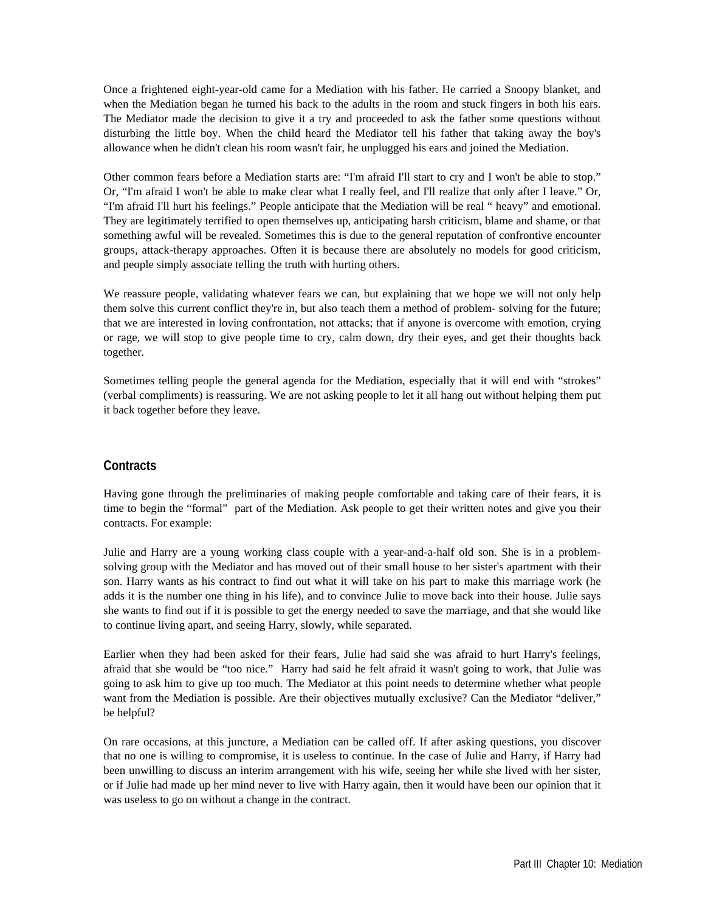Once a frightened eight-year-old came for a Mediation with his father. He carried a Snoopy blanket, and when the Mediation began he turned his back to the adults in the room and stuck fingers in both his ears. The Mediator made the decision to give it a try and proceeded to ask the father some questions without disturbing the little boy. When the child heard the Mediator tell his father that taking away the boy's allowance when he didn't clean his room wasn't fair, he unplugged his ears and joined the Mediation.

Other common fears before a Mediation starts are: "I'm afraid I'll start to cry and I won't be able to stop." Or, "I'm afraid I won't be able to make clear what I really feel, and I'll realize that only after I leave." Or, "I'm afraid I'll hurt his feelings." People anticipate that the Mediation will be real " heavy" and emotional. They are legitimately terrified to open themselves up, anticipating harsh criticism, blame and shame, or that something awful will be revealed. Sometimes this is due to the general reputation of confrontive encounter groups, attack-therapy approaches. Often it is because there are absolutely no models for good criticism, and people simply associate telling the truth with hurting others.

We reassure people, validating whatever fears we can, but explaining that we hope we will not only help them solve this current conflict they're in, but also teach them a method of problem- solving for the future; that we are interested in loving confrontation, not attacks; that if anyone is overcome with emotion, crying or rage, we will stop to give people time to cry, calm down, dry their eyes, and get their thoughts back together.

Sometimes telling people the general agenda for the Mediation, especially that it will end with "strokes" (verbal compliments) is reassuring. We are not asking people to let it all hang out without helping them put it back together before they leave.

# **Contracts**

Having gone through the preliminaries of making people comfortable and taking care of their fears, it is time to begin the "formal" part of the Mediation. Ask people to get their written notes and give you their contracts. For example:

Julie and Harry are a young working class couple with a year-and-a-half old son. She is in a problemsolving group with the Mediator and has moved out of their small house to her sister's apartment with their son. Harry wants as his contract to find out what it will take on his part to make this marriage work (he adds it is the number one thing in his life), and to convince Julie to move back into their house. Julie says she wants to find out if it is possible to get the energy needed to save the marriage, and that she would like to continue living apart, and seeing Harry, slowly, while separated.

Earlier when they had been asked for their fears, Julie had said she was afraid to hurt Harry's feelings, afraid that she would be "too nice." Harry had said he felt afraid it wasn't going to work, that Julie was going to ask him to give up too much. The Mediator at this point needs to determine whether what people want from the Mediation is possible. Are their objectives mutually exclusive? Can the Mediator "deliver," be helpful?

On rare occasions, at this juncture, a Mediation can be called off. If after asking questions, you discover that no one is willing to compromise, it is useless to continue. In the case of Julie and Harry, if Harry had been unwilling to discuss an interim arrangement with his wife, seeing her while she lived with her sister, or if Julie had made up her mind never to live with Harry again, then it would have been our opinion that it was useless to go on without a change in the contract.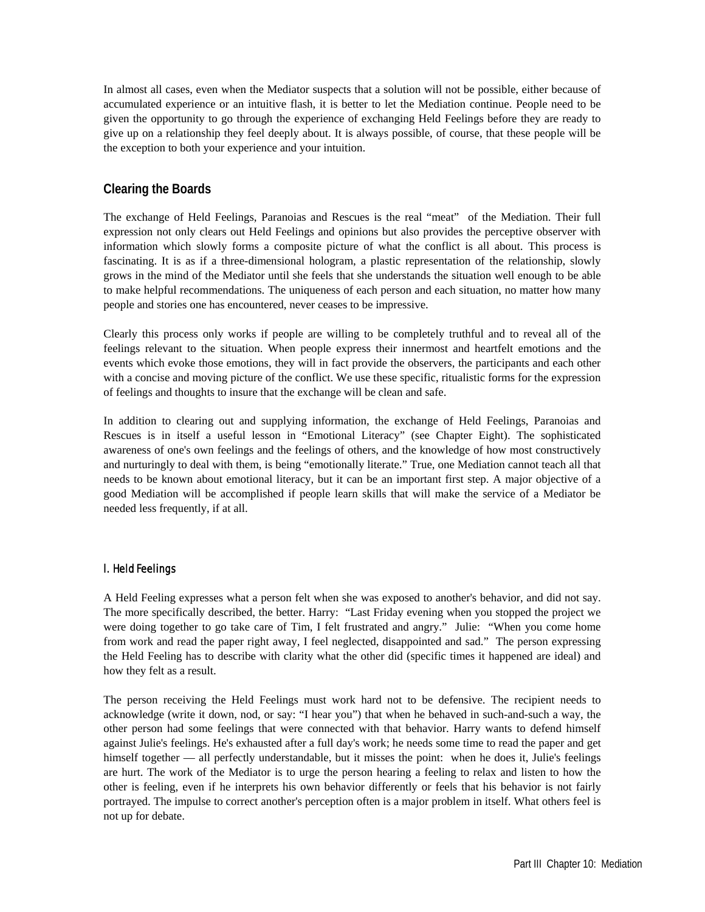In almost all cases, even when the Mediator suspects that a solution will not be possible, either because of accumulated experience or an intuitive flash, it is better to let the Mediation continue. People need to be given the opportunity to go through the experience of exchanging Held Feelings before they are ready to give up on a relationship they feel deeply about. It is always possible, of course, that these people will be the exception to both your experience and your intuition.

# **Clearing the Boards**

The exchange of Held Feelings, Paranoias and Rescues is the real "meat" of the Mediation. Their full expression not only clears out Held Feelings and opinions but also provides the perceptive observer with information which slowly forms a composite picture of what the conflict is all about. This process is fascinating. It is as if a three-dimensional hologram, a plastic representation of the relationship, slowly grows in the mind of the Mediator until she feels that she understands the situation well enough to be able to make helpful recommendations. The uniqueness of each person and each situation, no matter how many people and stories one has encountered, never ceases to be impressive.

Clearly this process only works if people are willing to be completely truthful and to reveal all of the feelings relevant to the situation. When people express their innermost and heartfelt emotions and the events which evoke those emotions, they will in fact provide the observers, the participants and each other with a concise and moving picture of the conflict. We use these specific, ritualistic forms for the expression of feelings and thoughts to insure that the exchange will be clean and safe.

In addition to clearing out and supplying information, the exchange of Held Feelings, Paranoias and Rescues is in itself a useful lesson in "Emotional Literacy" (see Chapter Eight). The sophisticated awareness of one's own feelings and the feelings of others, and the knowledge of how most constructively and nurturingly to deal with them, is being "emotionally literate." True, one Mediation cannot teach all that needs to be known about emotional literacy, but it can be an important first step. A major objective of a good Mediation will be accomplished if people learn skills that will make the service of a Mediator be needed less frequently, if at all.

# l. Held Feelings

A Held Feeling expresses what a person felt when she was exposed to another's behavior, and did not say. The more specifically described, the better. Harry: "Last Friday evening when you stopped the project we were doing together to go take care of Tim, I felt frustrated and angry." Julie: "When you come home from work and read the paper right away, I feel neglected, disappointed and sad." The person expressing the Held Feeling has to describe with clarity what the other did (specific times it happened are ideal) and how they felt as a result.

The person receiving the Held Feelings must work hard not to be defensive. The recipient needs to acknowledge (write it down, nod, or say: "I hear you") that when he behaved in such-and-such a way, the other person had some feelings that were connected with that behavior. Harry wants to defend himself against Julie's feelings. He's exhausted after a full day's work; he needs some time to read the paper and get himself together — all perfectly understandable, but it misses the point: when he does it, Julie's feelings are hurt. The work of the Mediator is to urge the person hearing a feeling to relax and listen to how the other is feeling, even if he interprets his own behavior differently or feels that his behavior is not fairly portrayed. The impulse to correct another's perception often is a major problem in itself. What others feel is not up for debate.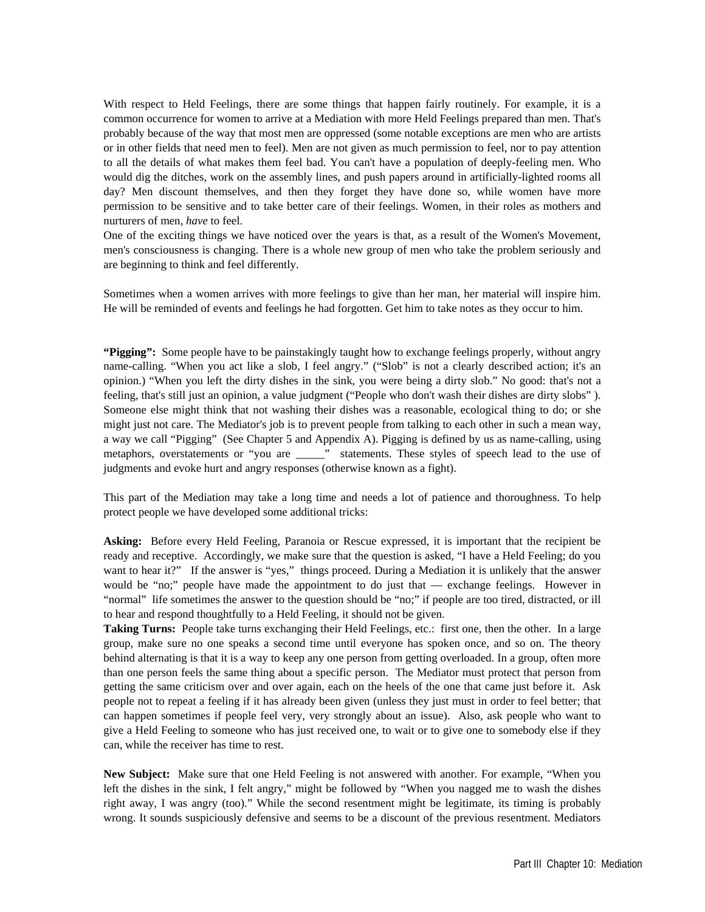With respect to Held Feelings, there are some things that happen fairly routinely. For example, it is a common occurrence for women to arrive at a Mediation with more Held Feelings prepared than men. That's probably because of the way that most men are oppressed (some notable exceptions are men who are artists or in other fields that need men to feel). Men are not given as much permission to feel, nor to pay attention to all the details of what makes them feel bad. You can't have a population of deeply-feeling men. Who would dig the ditches, work on the assembly lines, and push papers around in artificially-lighted rooms all day? Men discount themselves, and then they forget they have done so, while women have more permission to be sensitive and to take better care of their feelings. Women, in their roles as mothers and nurturers of men, *have* to feel.

One of the exciting things we have noticed over the years is that, as a result of the Women's Movement, men's consciousness is changing. There is a whole new group of men who take the problem seriously and are beginning to think and feel differently.

Sometimes when a women arrives with more feelings to give than her man, her material will inspire him. He will be reminded of events and feelings he had forgotten. Get him to take notes as they occur to him.

**"Pigging":** Some people have to be painstakingly taught how to exchange feelings properly, without angry name-calling. "When you act like a slob, I feel angry." ("Slob" is not a clearly described action; it's an opinion.) "When you left the dirty dishes in the sink, you were being a dirty slob." No good: that's not a feeling, that's still just an opinion, a value judgment ("People who don't wash their dishes are dirty slobs" ). Someone else might think that not washing their dishes was a reasonable, ecological thing to do; or she might just not care. The Mediator's job is to prevent people from talking to each other in such a mean way, a way we call "Pigging" (See Chapter 5 and Appendix A). Pigging is defined by us as name-calling, using metaphors, overstatements or "you are \_\_\_\_\_" statements. These styles of speech lead to the use of judgments and evoke hurt and angry responses (otherwise known as a fight).

This part of the Mediation may take a long time and needs a lot of patience and thoroughness. To help protect people we have developed some additional tricks:

**Asking:** Before every Held Feeling, Paranoia or Rescue expressed, it is important that the recipient be ready and receptive. Accordingly, we make sure that the question is asked, "I have a Held Feeling; do you want to hear it?" If the answer is "yes," things proceed. During a Mediation it is unlikely that the answer would be "no;" people have made the appointment to do just that — exchange feelings. However in "normal" life sometimes the answer to the question should be "no;" if people are too tired, distracted, or ill to hear and respond thoughtfully to a Held Feeling, it should not be given.

**Taking Turns:** People take turns exchanging their Held Feelings, etc.: first one, then the other. In a large group, make sure no one speaks a second time until everyone has spoken once, and so on. The theory behind alternating is that it is a way to keep any one person from getting overloaded. In a group, often more than one person feels the same thing about a specific person. The Mediator must protect that person from getting the same criticism over and over again, each on the heels of the one that came just before it. Ask people not to repeat a feeling if it has already been given (unless they just must in order to feel better; that can happen sometimes if people feel very, very strongly about an issue). Also, ask people who want to give a Held Feeling to someone who has just received one, to wait or to give one to somebody else if they can, while the receiver has time to rest.

**New Subject:** Make sure that one Held Feeling is not answered with another. For example, "When you left the dishes in the sink, I felt angry," might be followed by "When you nagged me to wash the dishes right away, I was angry (too)." While the second resentment might be legitimate, its timing is probably wrong. It sounds suspiciously defensive and seems to be a discount of the previous resentment. Mediators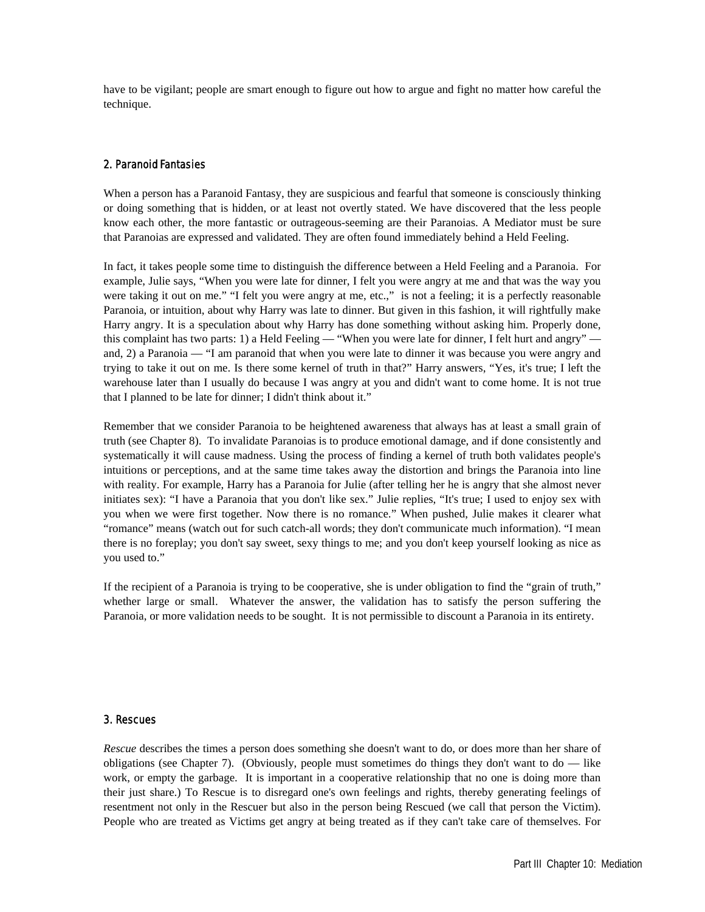have to be vigilant; people are smart enough to figure out how to argue and fight no matter how careful the technique.

### 2. Paranoid Fantasies

When a person has a Paranoid Fantasy, they are suspicious and fearful that someone is consciously thinking or doing something that is hidden, or at least not overtly stated. We have discovered that the less people know each other, the more fantastic or outrageous-seeming are their Paranoias. A Mediator must be sure that Paranoias are expressed and validated. They are often found immediately behind a Held Feeling.

In fact, it takes people some time to distinguish the difference between a Held Feeling and a Paranoia. For example, Julie says, "When you were late for dinner, I felt you were angry at me and that was the way you were taking it out on me." "I felt you were angry at me, etc.," is not a feeling; it is a perfectly reasonable Paranoia, or intuition, about why Harry was late to dinner. But given in this fashion, it will rightfully make Harry angry. It is a speculation about why Harry has done something without asking him. Properly done, this complaint has two parts: 1) a Held Feeling — "When you were late for dinner, I felt hurt and angry" and, 2) a Paranoia — "I am paranoid that when you were late to dinner it was because you were angry and trying to take it out on me. Is there some kernel of truth in that?" Harry answers, "Yes, it's true; I left the warehouse later than I usually do because I was angry at you and didn't want to come home. It is not true that I planned to be late for dinner; I didn't think about it."

Remember that we consider Paranoia to be heightened awareness that always has at least a small grain of truth (see Chapter 8). To invalidate Paranoias is to produce emotional damage, and if done consistently and systematically it will cause madness. Using the process of finding a kernel of truth both validates people's intuitions or perceptions, and at the same time takes away the distortion and brings the Paranoia into line with reality. For example, Harry has a Paranoia for Julie (after telling her he is angry that she almost never initiates sex): "I have a Paranoia that you don't like sex." Julie replies, "It's true; I used to enjoy sex with you when we were first together. Now there is no romance." When pushed, Julie makes it clearer what "romance" means (watch out for such catch-all words; they don't communicate much information). "I mean there is no foreplay; you don't say sweet, sexy things to me; and you don't keep yourself looking as nice as you used to."

If the recipient of a Paranoia is trying to be cooperative, she is under obligation to find the "grain of truth," whether large or small. Whatever the answer, the validation has to satisfy the person suffering the Paranoia, or more validation needs to be sought. It is not permissible to discount a Paranoia in its entirety.

#### 3. Rescues

*Rescue* describes the times a person does something she doesn't want to do, or does more than her share of obligations (see Chapter 7). (Obviously, people must sometimes do things they don't want to  $d\sigma$  — like work, or empty the garbage. It is important in a cooperative relationship that no one is doing more than their just share.) To Rescue is to disregard one's own feelings and rights, thereby generating feelings of resentment not only in the Rescuer but also in the person being Rescued (we call that person the Victim). People who are treated as Victims get angry at being treated as if they can't take care of themselves. For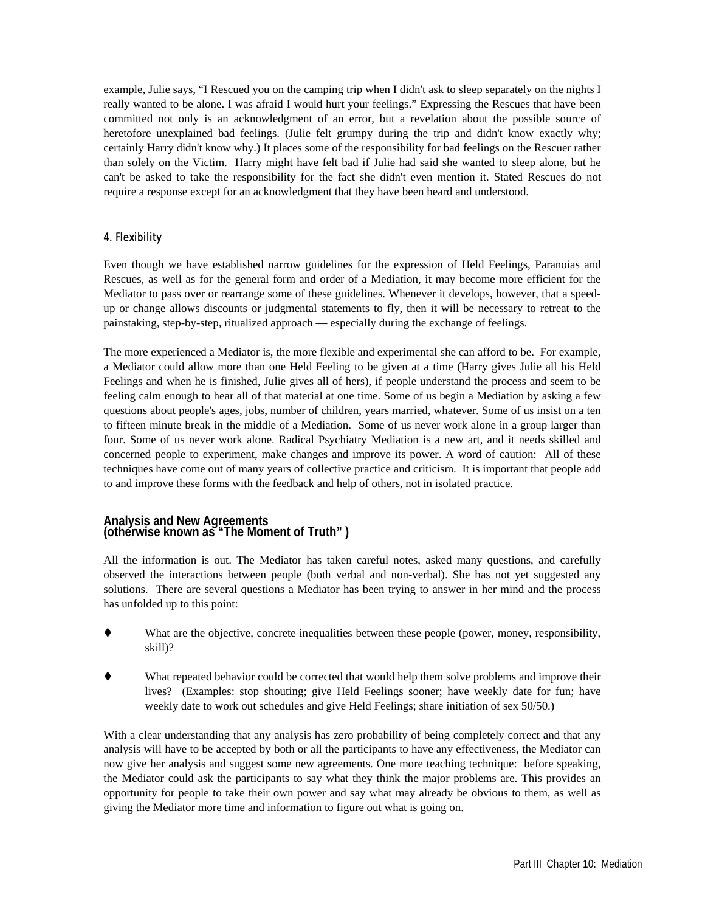example, Julie says, "I Rescued you on the camping trip when I didn't ask to sleep separately on the nights I really wanted to be alone. I was afraid I would hurt your feelings." Expressing the Rescues that have been committed not only is an acknowledgment of an error, but a revelation about the possible source of heretofore unexplained bad feelings. (Julie felt grumpy during the trip and didn't know exactly why; certainly Harry didn't know why.) It places some of the responsibility for bad feelings on the Rescuer rather than solely on the Victim. Harry might have felt bad if Julie had said she wanted to sleep alone, but he can't be asked to take the responsibility for the fact she didn't even mention it. Stated Rescues do not require a response except for an acknowledgment that they have been heard and understood.

# 4. Flexibility

Even though we have established narrow guidelines for the expression of Held Feelings, Paranoias and Rescues, as well as for the general form and order of a Mediation, it may become more efficient for the Mediator to pass over or rearrange some of these guidelines. Whenever it develops, however, that a speedup or change allows discounts or judgmental statements to fly, then it will be necessary to retreat to the painstaking, step-by-step, ritualized approach — especially during the exchange of feelings.

The more experienced a Mediator is, the more flexible and experimental she can afford to be. For example, a Mediator could allow more than one Held Feeling to be given at a time (Harry gives Julie all his Held Feelings and when he is finished, Julie gives all of hers), if people understand the process and seem to be feeling calm enough to hear all of that material at one time. Some of us begin a Mediation by asking a few questions about people's ages, jobs, number of children, years married, whatever. Some of us insist on a ten to fifteen minute break in the middle of a Mediation. Some of us never work alone in a group larger than four. Some of us never work alone. Radical Psychiatry Mediation is a new art, and it needs skilled and concerned people to experiment, make changes and improve its power. A word of caution: All of these techniques have come out of many years of collective practice and criticism. It is important that people add to and improve these forms with the feedback and help of others, not in isolated practice.

## **Analysis and New Agreements (otherwise known as "The Moment of Truth" )**

All the information is out. The Mediator has taken careful notes, asked many questions, and carefully observed the interactions between people (both verbal and non-verbal). She has not yet suggested any solutions. There are several questions a Mediator has been trying to answer in her mind and the process has unfolded up to this point:

- What are the objective, concrete inequalities between these people (power, money, responsibility, skill)?
- What repeated behavior could be corrected that would help them solve problems and improve their lives? (Examples: stop shouting; give Held Feelings sooner; have weekly date for fun; have weekly date to work out schedules and give Held Feelings; share initiation of sex 50/50.)

With a clear understanding that any analysis has zero probability of being completely correct and that any analysis will have to be accepted by both or all the participants to have any effectiveness, the Mediator can now give her analysis and suggest some new agreements. One more teaching technique: before speaking, the Mediator could ask the participants to say what they think the major problems are. This provides an opportunity for people to take their own power and say what may already be obvious to them, as well as giving the Mediator more time and information to figure out what is going on.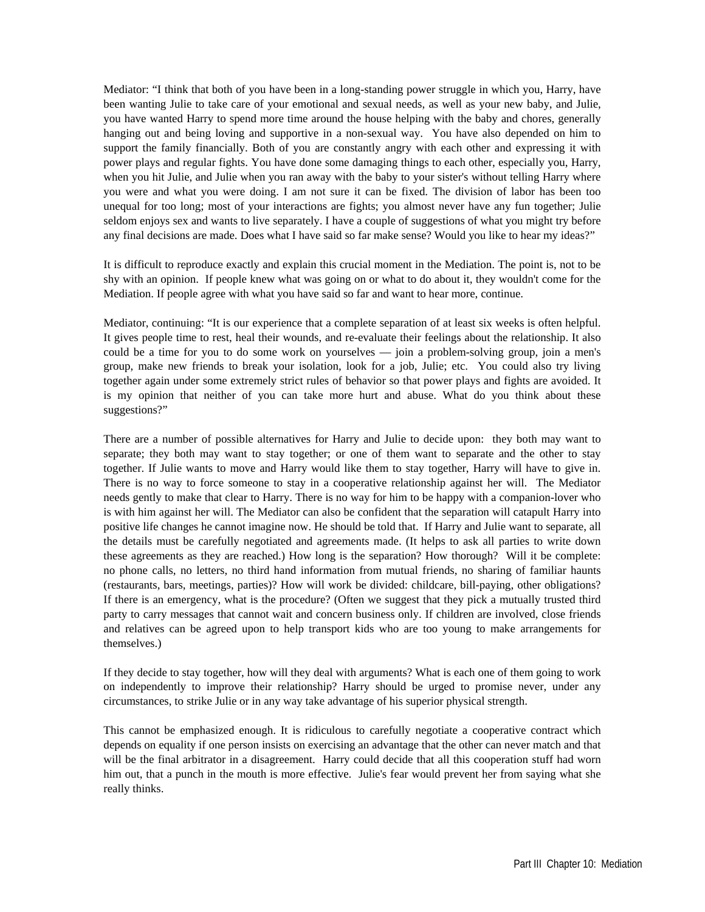Mediator: "I think that both of you have been in a long-standing power struggle in which you, Harry, have been wanting Julie to take care of your emotional and sexual needs, as well as your new baby, and Julie, you have wanted Harry to spend more time around the house helping with the baby and chores, generally hanging out and being loving and supportive in a non-sexual way. You have also depended on him to support the family financially. Both of you are constantly angry with each other and expressing it with power plays and regular fights. You have done some damaging things to each other, especially you, Harry, when you hit Julie, and Julie when you ran away with the baby to your sister's without telling Harry where you were and what you were doing. I am not sure it can be fixed. The division of labor has been too unequal for too long; most of your interactions are fights; you almost never have any fun together; Julie seldom enjoys sex and wants to live separately. I have a couple of suggestions of what you might try before any final decisions are made. Does what I have said so far make sense? Would you like to hear my ideas?"

It is difficult to reproduce exactly and explain this crucial moment in the Mediation. The point is, not to be shy with an opinion. If people knew what was going on or what to do about it, they wouldn't come for the Mediation. If people agree with what you have said so far and want to hear more, continue.

Mediator, continuing: "It is our experience that a complete separation of at least six weeks is often helpful. It gives people time to rest, heal their wounds, and re-evaluate their feelings about the relationship. It also could be a time for you to do some work on yourselves — join a problem-solving group, join a men's group, make new friends to break your isolation, look for a job, Julie; etc. You could also try living together again under some extremely strict rules of behavior so that power plays and fights are avoided. It is my opinion that neither of you can take more hurt and abuse. What do you think about these suggestions?"

There are a number of possible alternatives for Harry and Julie to decide upon: they both may want to separate; they both may want to stay together; or one of them want to separate and the other to stay together. If Julie wants to move and Harry would like them to stay together, Harry will have to give in. There is no way to force someone to stay in a cooperative relationship against her will. The Mediator needs gently to make that clear to Harry. There is no way for him to be happy with a companion-lover who is with him against her will. The Mediator can also be confident that the separation will catapult Harry into positive life changes he cannot imagine now. He should be told that. If Harry and Julie want to separate, all the details must be carefully negotiated and agreements made. (It helps to ask all parties to write down these agreements as they are reached.) How long is the separation? How thorough? Will it be complete: no phone calls, no letters, no third hand information from mutual friends, no sharing of familiar haunts (restaurants, bars, meetings, parties)? How will work be divided: childcare, bill-paying, other obligations? If there is an emergency, what is the procedure? (Often we suggest that they pick a mutually trusted third party to carry messages that cannot wait and concern business only. If children are involved, close friends and relatives can be agreed upon to help transport kids who are too young to make arrangements for themselves.)

If they decide to stay together, how will they deal with arguments? What is each one of them going to work on independently to improve their relationship? Harry should be urged to promise never, under any circumstances, to strike Julie or in any way take advantage of his superior physical strength.

This cannot be emphasized enough. It is ridiculous to carefully negotiate a cooperative contract which depends on equality if one person insists on exercising an advantage that the other can never match and that will be the final arbitrator in a disagreement. Harry could decide that all this cooperation stuff had worn him out, that a punch in the mouth is more effective. Julie's fear would prevent her from saying what she really thinks.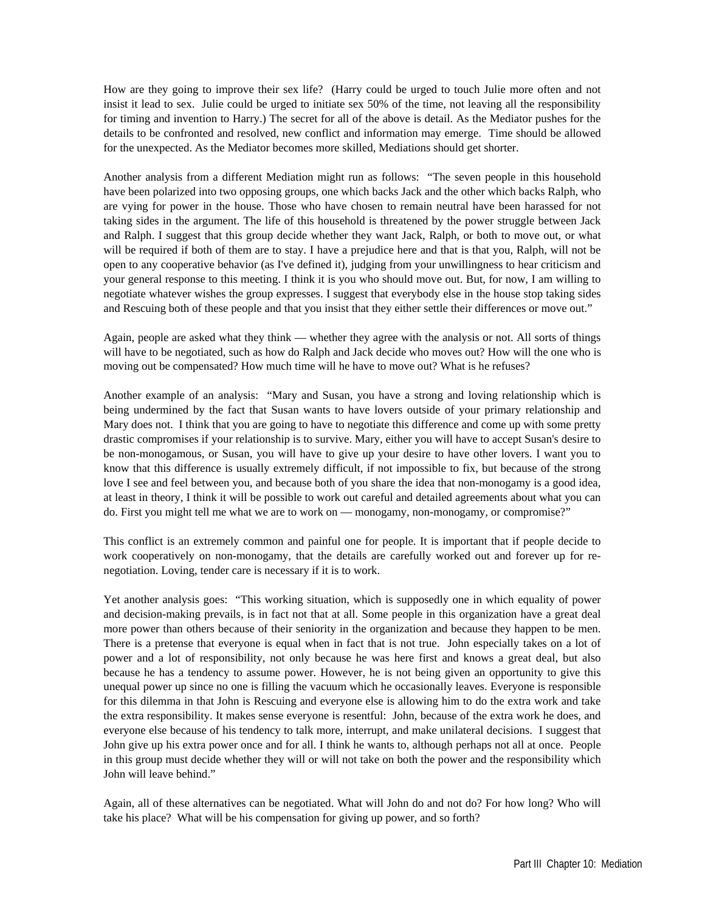How are they going to improve their sex life? (Harry could be urged to touch Julie more often and not insist it lead to sex. Julie could be urged to initiate sex 50% of the time, not leaving all the responsibility for timing and invention to Harry.) The secret for all of the above is detail. As the Mediator pushes for the details to be confronted and resolved, new conflict and information may emerge. Time should be allowed for the unexpected. As the Mediator becomes more skilled, Mediations should get shorter.

Another analysis from a different Mediation might run as follows: "The seven people in this household have been polarized into two opposing groups, one which backs Jack and the other which backs Ralph, who are vying for power in the house. Those who have chosen to remain neutral have been harassed for not taking sides in the argument. The life of this household is threatened by the power struggle between Jack and Ralph. I suggest that this group decide whether they want Jack, Ralph, or both to move out, or what will be required if both of them are to stay. I have a prejudice here and that is that you, Ralph, will not be open to any cooperative behavior (as I've defined it), judging from your unwillingness to hear criticism and your general response to this meeting. I think it is you who should move out. But, for now, I am willing to negotiate whatever wishes the group expresses. I suggest that everybody else in the house stop taking sides and Rescuing both of these people and that you insist that they either settle their differences or move out."

Again, people are asked what they think — whether they agree with the analysis or not. All sorts of things will have to be negotiated, such as how do Ralph and Jack decide who moves out? How will the one who is moving out be compensated? How much time will he have to move out? What is he refuses?

Another example of an analysis: "Mary and Susan, you have a strong and loving relationship which is being undermined by the fact that Susan wants to have lovers outside of your primary relationship and Mary does not. I think that you are going to have to negotiate this difference and come up with some pretty drastic compromises if your relationship is to survive. Mary, either you will have to accept Susan's desire to be non-monogamous, or Susan, you will have to give up your desire to have other lovers. I want you to know that this difference is usually extremely difficult, if not impossible to fix, but because of the strong love I see and feel between you, and because both of you share the idea that non-monogamy is a good idea, at least in theory, I think it will be possible to work out careful and detailed agreements about what you can do. First you might tell me what we are to work on — monogamy, non-monogamy, or compromise?"

This conflict is an extremely common and painful one for people. It is important that if people decide to work cooperatively on non-monogamy, that the details are carefully worked out and forever up for renegotiation. Loving, tender care is necessary if it is to work.

Yet another analysis goes: "This working situation, which is supposedly one in which equality of power and decision-making prevails, is in fact not that at all. Some people in this organization have a great deal more power than others because of their seniority in the organization and because they happen to be men. There is a pretense that everyone is equal when in fact that is not true. John especially takes on a lot of power and a lot of responsibility, not only because he was here first and knows a great deal, but also because he has a tendency to assume power. However, he is not being given an opportunity to give this unequal power up since no one is filling the vacuum which he occasionally leaves. Everyone is responsible for this dilemma in that John is Rescuing and everyone else is allowing him to do the extra work and take the extra responsibility. It makes sense everyone is resentful: John, because of the extra work he does, and everyone else because of his tendency to talk more, interrupt, and make unilateral decisions. I suggest that John give up his extra power once and for all. I think he wants to, although perhaps not all at once. People in this group must decide whether they will or will not take on both the power and the responsibility which John will leave behind."

Again, all of these alternatives can be negotiated. What will John do and not do? For how long? Who will take his place? What will be his compensation for giving up power, and so forth?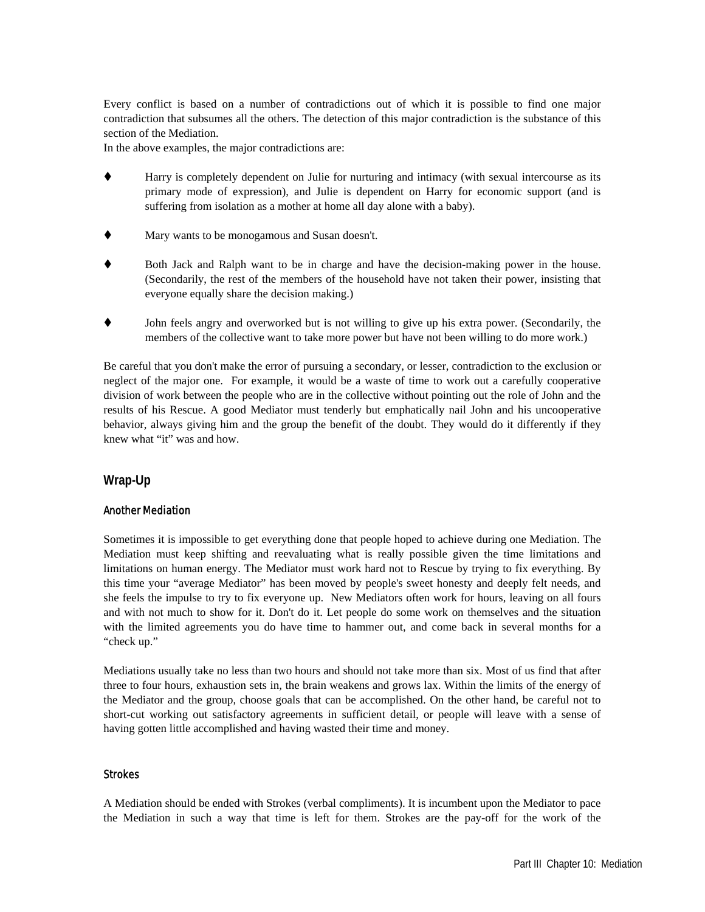Every conflict is based on a number of contradictions out of which it is possible to find one major contradiction that subsumes all the others. The detection of this major contradiction is the substance of this section of the Mediation.

In the above examples, the major contradictions are:

- Harry is completely dependent on Julie for nurturing and intimacy (with sexual intercourse as its primary mode of expression), and Julie is dependent on Harry for economic support (and is suffering from isolation as a mother at home all day alone with a baby).
- Mary wants to be monogamous and Susan doesn't.
- Both Jack and Ralph want to be in charge and have the decision-making power in the house. (Secondarily, the rest of the members of the household have not taken their power, insisting that everyone equally share the decision making.)
- John feels angry and overworked but is not willing to give up his extra power. (Secondarily, the members of the collective want to take more power but have not been willing to do more work.)

Be careful that you don't make the error of pursuing a secondary, or lesser, contradiction to the exclusion or neglect of the major one. For example, it would be a waste of time to work out a carefully cooperative division of work between the people who are in the collective without pointing out the role of John and the results of his Rescue. A good Mediator must tenderly but emphatically nail John and his uncooperative behavior, always giving him and the group the benefit of the doubt. They would do it differently if they knew what "it" was and how.

# **Wrap-Up**

### Another Mediation

Sometimes it is impossible to get everything done that people hoped to achieve during one Mediation. The Mediation must keep shifting and reevaluating what is really possible given the time limitations and limitations on human energy. The Mediator must work hard not to Rescue by trying to fix everything. By this time your "average Mediator" has been moved by people's sweet honesty and deeply felt needs, and she feels the impulse to try to fix everyone up. New Mediators often work for hours, leaving on all fours and with not much to show for it. Don't do it. Let people do some work on themselves and the situation with the limited agreements you do have time to hammer out, and come back in several months for a "check up."

Mediations usually take no less than two hours and should not take more than six. Most of us find that after three to four hours, exhaustion sets in, the brain weakens and grows lax. Within the limits of the energy of the Mediator and the group, choose goals that can be accomplished. On the other hand, be careful not to short-cut working out satisfactory agreements in sufficient detail, or people will leave with a sense of having gotten little accomplished and having wasted their time and money.

### Strokes

A Mediation should be ended with Strokes (verbal compliments). It is incumbent upon the Mediator to pace the Mediation in such a way that time is left for them. Strokes are the pay-off for the work of the